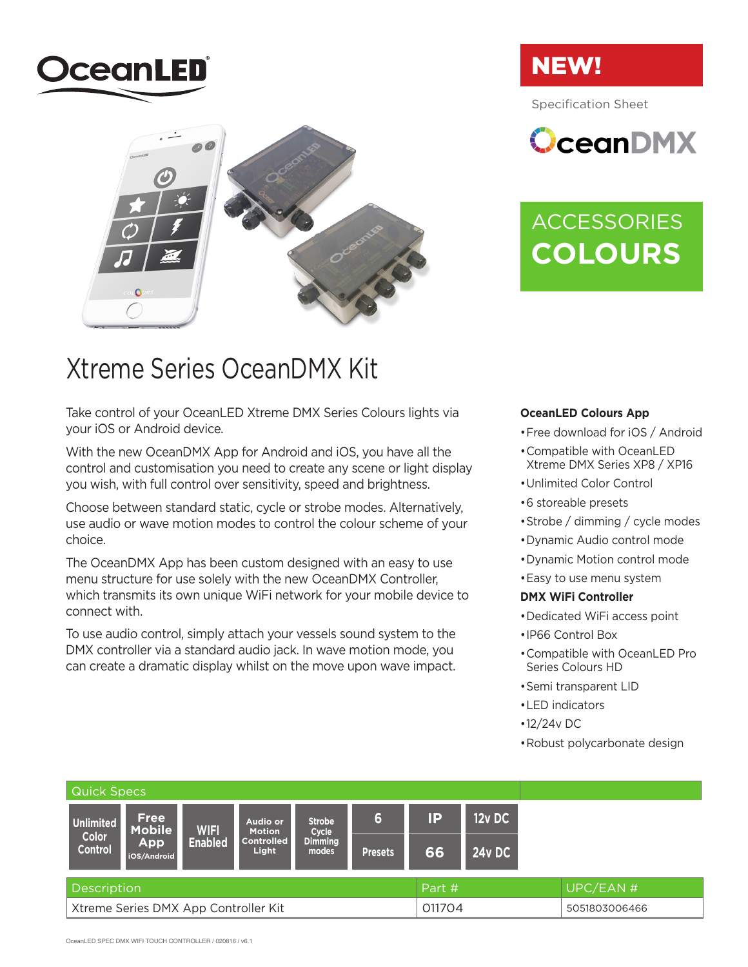



### Xtreme Series OceanDMX Kit

Take control of your OceanLED Xtreme DMX Series Colours lights via your iOS or Android device.

With the new OceanDMX App for Android and iOS, you have all the control and customisation you need to create any scene or light display you wish, with full control over sensitivity, speed and brightness.

Choose between standard static, cycle or strobe modes. Alternatively, use audio or wave motion modes to control the colour scheme of your choice.

The OceanDMX App has been custom designed with an easy to use menu structure for use solely with the new OceanDMX Controller, which transmits its own unique WiFi network for your mobile device to connect with.

To use audio control, simply attach your vessels sound system to the DMX controller via a standard audio jack. In wave motion mode, you can create a dramatic display whilst on the move upon wave impact.

## NEW!

Specification Sheet

 $\Omega$ ceanDMX

## **ACCESSORIES COLOURS**

#### **OceanLED Colours App**

- Free download for iOS / Android
- • Compatible with OceanLED Xtreme DMX Series XP8 / XP16
- • Unlimited Color Control
- • 6 storeable presets
- • Strobe / dimming / cycle modes
- • Dynamic Audio control mode
- • Dynamic Motion control mode
- Easy to use menu system

#### **DMX WiFi Controller**

- • Dedicated WiFi access point
- • IP66 Control Box
- • Compatible with OceanLED Pro Series Colours HD
- • Semi transparent LID
- • LED indicators
- • 12/24v DC
- • Robust polycarbonate design

| Quick Specs                          |                                                    |                               |                                                         |                                                   |                |        |               |               |  |  |
|--------------------------------------|----------------------------------------------------|-------------------------------|---------------------------------------------------------|---------------------------------------------------|----------------|--------|---------------|---------------|--|--|
| <b>Unlimited</b><br>Color<br>Control | <b>Free</b><br>Mobile<br><b>App</b><br>iOS/Android | <b>WIFI</b><br><b>Enabled</b> | Audio or<br><b>Motion</b><br><b>Controlled</b><br>Light | <b>Strobe</b><br>Cycle<br><b>Dimming</b><br>modes | 6              | IP     | $12v$ DC      |               |  |  |
|                                      |                                                    |                               |                                                         |                                                   | <b>Presets</b> | 66     | <b>24v DC</b> |               |  |  |
| <b>Description</b>                   |                                                    |                               |                                                         |                                                   | Part #         |        |               | UPC/EAN #     |  |  |
| Xtreme Series DMX App Controller Kit |                                                    |                               |                                                         |                                                   |                | 011704 |               | 5051803006466 |  |  |

OceanLED SPEC DMX WIFI TOUCH CONTROLLER / 020816 / v6.1